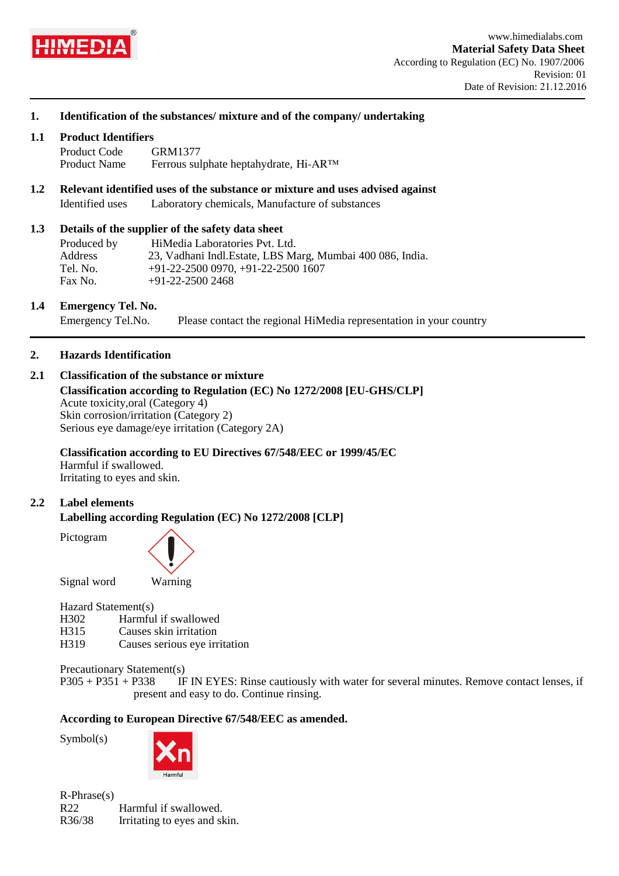

## **1. Identification of the substances/ mixture and of the company/ undertaking**

#### **1.1 Product Identifiers**

Product Code Product Name GRM1377 Ferrous sulphate heptahydrate, Hi-AR™

**1.2 Relevant identified uses of the substance or mixture and uses advised against** Identified uses Laboratory chemicals, Manufacture of substances

#### **1.3 Details of the supplier of the safety data sheet**

| Produced by | HiMedia Laboratories Pvt. Ltd.                             |
|-------------|------------------------------------------------------------|
| Address     | 23, Vadhani Indl. Estate, LBS Marg, Mumbai 400 086, India. |
| Tel. No.    | $+91-22-25000970, +91-22-25001607$                         |
| Fax No.     | $+91-22-25002468$                                          |

#### **1.4 Emergency Tel. No.**

Emergency Tel.No. Please contact the regional HiMedia representation in your country

## **2. Hazards Identification**

## **2.1 Classification of the substance or mixture**

**Classification according to Regulation (EC) No 1272/2008 [EU-GHS/CLP]** Acute toxicity,oral (Category 4) Skin corrosion/irritation (Category 2) Serious eye damage/eye irritation (Category 2A)

#### **Classification according to EU Directives 67/548/EEC or 1999/45/EC** Harmful if swallowed.

Irritating to eyes and skin.

## **2.2 Label elements**

**Labelling according Regulation (EC) No 1272/2008 [CLP]**

Pictogram



Signal word Warning

#### Hazard Statement(s)

- H302 Harmful if swallowed<br>H315 Causes skin irritation
- H315 Causes skin irritation<br>H319 Causes serious eve in
- Causes serious eye irritation

Precautionary Statement(s)

P305 + P351 + P338 IF IN EYES: Rinse cautiously with water for several minutes. Remove contact lenses, if present and easy to do. Continue rinsing.

#### **According to European Directive 67/548/EEC as amended.**

Symbol(s)



R-Phrase(s) R22 Harmful if swallowed. R36/38 Irritating to eyes and skin.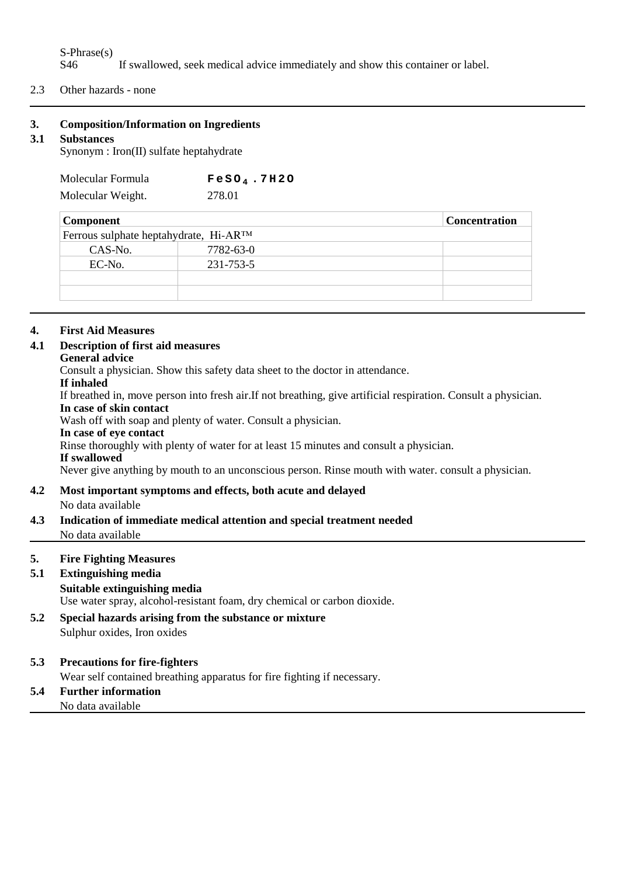# S-Phrase(s)<br>S46 If swallowed, seek medical advice immediately and show this container or label.

2.3 Other hazards - none

# **3. Composition/Information on Ingredients**

## **3.1 Substances**

Synonym : Iron(II) sulfate heptahydrate

| Molecular Formula | $FeSO4$ .7H2O |
|-------------------|---------------|
| Molecular Weight. | 278.01        |

| <b>Component</b>                       |           | <b>Concentration</b> |
|----------------------------------------|-----------|----------------------|
| Ferrous sulphate heptahydrate, Hi-ARTM |           |                      |
| CAS-No.                                | 7782-63-0 |                      |
| EC-No.                                 | 231-753-5 |                      |
|                                        |           |                      |
|                                        |           |                      |

# **4. First Aid Measures**

# **4.1 Description of first aid measures**

# **General advice**

Consult a physician. Show this safety data sheet to the doctor in attendance.

# **If inhaled**

If breathed in, move person into fresh air.If not breathing, give artificial respiration. Consult a physician. **In case of skin contact**

Wash off with soap and plenty of water. Consult a physician.

## **In case of eye contact**

Rinse thoroughly with plenty of water for at least 15 minutes and consult a physician.

#### **If swallowed**

Never give anything by mouth to an unconscious person. Rinse mouth with water. consult a physician.

# **4.2 Most important symptoms and effects, both acute and delayed**

No data available

**4.3 Indication of immediate medical attention and special treatment needed** No data available

# **5. Fire Fighting Measures**

# **5.1 Extinguishing media**

# **Suitable extinguishing media**

Use water spray, alcohol-resistant foam, dry chemical or carbon dioxide.

**5.2 Special hazards arising from the substance or mixture** Sulphur oxides, Iron oxides

# **5.3 Precautions for fire-fighters**

Wear self contained breathing apparatus for fire fighting if necessary.

#### **5.4 Further information** No data available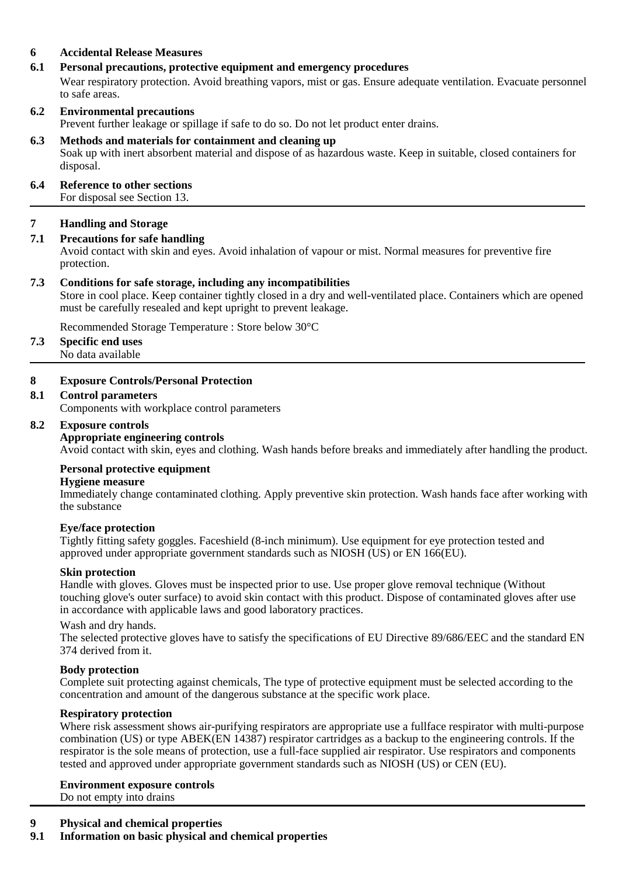# **6 Accidental Release Measures**

# **6.1 Personal precautions, protective equipment and emergency procedures**

Wear respiratory protection. Avoid breathing vapors, mist or gas. Ensure adequate ventilation. Evacuate personnel to safe areas.

# **6.2 Environmental precautions**

Prevent further leakage or spillage if safe to do so. Do not let product enter drains.

#### **6.3 Methods and materials for containment and cleaning up**

Soak up with inert absorbent material and dispose of as hazardous waste. Keep in suitable, closed containers for disposal.

## **6.4 Reference to other sections**

For disposal see Section 13.

# **7 Handling and Storage**

# **7.1 Precautions for safe handling**

Avoid contact with skin and eyes. Avoid inhalation of vapour or mist. Normal measures for preventive fire protection.

#### **7.3 Conditions for safe storage, including any incompatibilities**

Store in cool place. Keep container tightly closed in a dry and well-ventilated place. Containers which are opened must be carefully resealed and kept upright to prevent leakage.

Recommended Storage Temperature : Store below 30°C

#### **7.3 Specific end uses**

No data available

#### **8 Exposure Controls/Personal Protection**

#### **8.1 Control parameters**

Components with workplace control parameters

#### **8.2 Exposure controls**

#### **Appropriate engineering controls**

Avoid contact with skin, eyes and clothing. Wash hands before breaks and immediately after handling the product.

#### **Personal protective equipment**

#### **Hygiene measure**

Immediately change contaminated clothing. Apply preventive skin protection. Wash hands face after working with the substance

#### **Eye/face protection**

Tightly fitting safety goggles. Faceshield (8-inch minimum). Use equipment for eye protection tested and approved under appropriate government standards such as NIOSH (US) or EN 166(EU).

#### **Skin protection**

Handle with gloves. Gloves must be inspected prior to use. Use proper glove removal technique (Without touching glove's outer surface) to avoid skin contact with this product. Dispose of contaminated gloves after use in accordance with applicable laws and good laboratory practices.

#### Wash and dry hands.

The selected protective gloves have to satisfy the specifications of EU Directive 89/686/EEC and the standard EN 374 derived from it.

#### **Body protection**

Complete suit protecting against chemicals, The type of protective equipment must be selected according to the concentration and amount of the dangerous substance at the specific work place.

#### **Respiratory protection**

Where risk assessment shows air-purifying respirators are appropriate use a fullface respirator with multi-purpose combination (US) or type ABEK(EN 14387) respirator cartridges as a backup to the engineering controls. If the respirator is the sole means of protection, use a full-face supplied air respirator. Use respirators and components tested and approved under appropriate government standards such as NIOSH (US) or CEN (EU).

# **Environment exposure controls**

Do not empty into drains

# **9 Physical and chemical properties**

**9.1 Information on basic physical and chemical properties**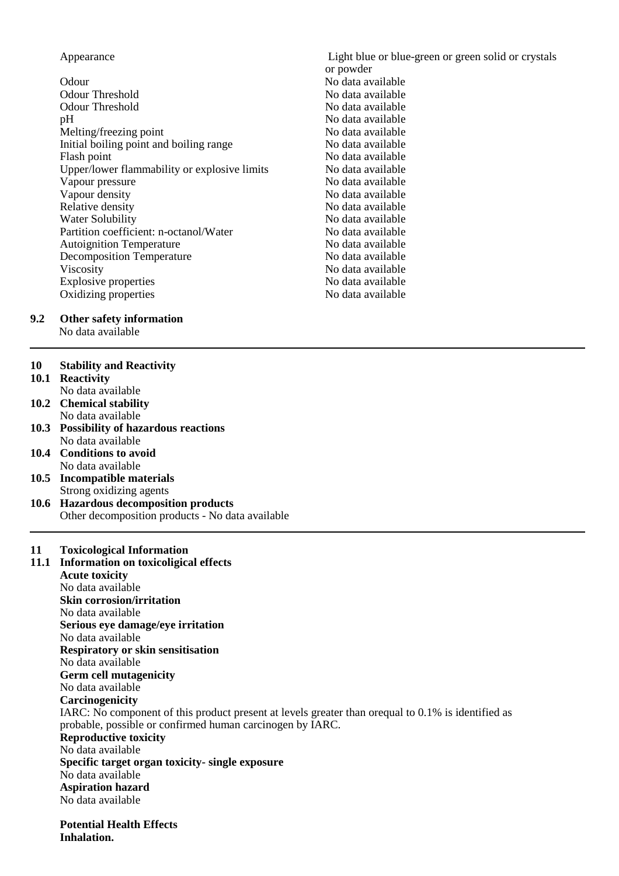#### Appearance **Light blue or blue-green or green solid or crystals**

Odour No data available Odour Threshold No data available pH<br>Mo data available<br>Melting/freezing point the same of the No data available Melting/freezing point and boiling range and the No data available<br>
No data available<br>
No data available Initial boiling point and boiling range Flash point No data available Upper/lower flammability or explosive limits No data available<br>Vapour pressure No data available Vapour pressure<br>Vapour density Vapour density<br>
Relative density<br>
No data available<br>
No data available<br>
No data available Water Solubility No data available Partition coefficient: n-octanol/Water No data available<br>Autoignition Temperature No data available Autoignition Temperature<br>
Decomposition Temperature<br>
No data available<br>
No data available Decomposition Temperature<br>Viscosity Explosive properties Oxidizing properties No data available

# No data available No data available No data available<br>No data available

or powder

# **9.2 Other safety information**

No data available

#### **10 Stability and Reactivity**

- **10.1 Reactivity**
	- No data available
- **10.2 Chemical stability** No data available
- **10.3 Possibility of hazardous reactions** No data available
- **10.4 Conditions to avoid** No data available
- **10.5 Incompatible materials** Strong oxidizing agents
- **10.6 Hazardous decomposition products** Other decomposition products - No data available

#### **11 Toxicological Information**

**11.1 Information on toxicoligical effects Acute toxicity** No data available **Skin corrosion/irritation** No data available **Serious eye damage/eye irritation** No data available **Respiratory or skin sensitisation** No data available **Germ cell mutagenicity** No data available **Carcinogenicity** IARC: No component of this product present at levels greater than orequal to 0.1% is identified as probable, possible or confirmed human carcinogen by IARC. **Reproductive toxicity** No data available **Specific target organ toxicity- single exposure** No data available **Aspiration hazard** No data available

**Potential Health Effects Inhalation.**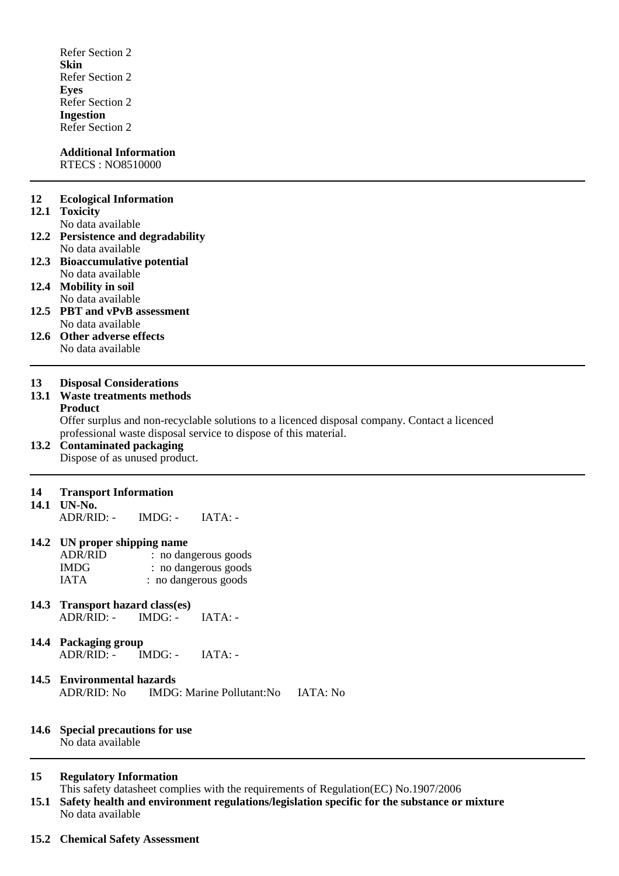Refer Section 2 **Skin** Refer Section 2 **Eyes** Refer Section 2 **Ingestion** Refer Section 2

#### **Additional Information** RTECS : NO8510000

#### **12 Ecological Information**

#### **12.1 Toxicity**

No data available

- **12.2 Persistence and degradability** No data available
- **12.3 Bioaccumulative potential** No data available
- **12.4 Mobility in soil** No data available
- **12.5 PBT and vPvB assessment** No data available
- **12.6 Other adverse effects** No data available

#### **13 Disposal Considerations**

## **13.1 Waste treatments methods**

#### **Product**

Offer surplus and non-recyclable solutions to a licenced disposal company. Contact a licenced professional waste disposal service to dispose of this material.

# **13.2 Contaminated packaging**

Dispose of as unused product.

#### **14 Transport Information**

**14.1 UN-No.**

 $ADR/RID: IMDG: IATA: -$ 

#### **14.2 UN proper shipping name**

| <b>ADR/RID</b> | : no dangerous goods |
|----------------|----------------------|
| <b>IMDG</b>    | : no dangerous goods |
| <b>IATA</b>    | : no dangerous goods |

- **14.3 Transport hazard class(es)** ADR/RID: - IMDG: - IATA: -
- **14.4 Packaging group<br>ADR/RID: IMDG: -** $ADR/RID: IMDG: IATA: -$
- **14.5 Environmental hazards** ADR/RID: No IMDG: Marine Pollutant:No IATA: No

#### **14.6 Special precautions for use** No data available

#### **15 Regulatory Information**

This safety datasheet complies with the requirements of Regulation(EC) No.1907/2006

- **15.1 Safety health and environment regulations/legislation specific for the substance or mixture** No data available
- **15.2 Chemical Safety Assessment**